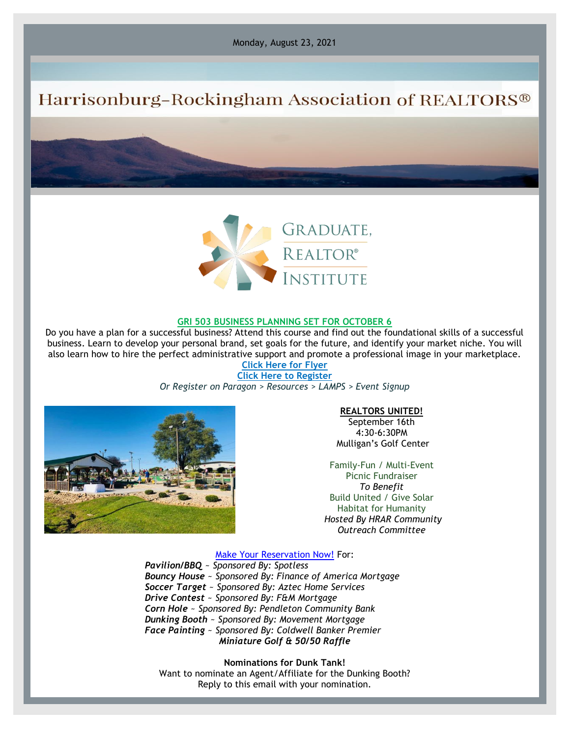Monday, August 23, 2021

# Harrisonburg-Rockingham Association of REALTORS®



### **GRI 503 BUSINESS PLANNING SET FOR OCTOBER 6**

Do you have a plan for a successful business? Attend this course and find out the foundational skills of a successful business. Learn to develop your personal brand, set goals for the future, and identify your market niche. You will also learn how to hire the perfect administrative support and promote a professional image in your marketplace. **[Click Here for Flyer](https://files.constantcontact.com/917f92b5101/e1cc03d9-4bfa-416f-8508-59994577fe1b.pdf)**

**[Click Here to Register](https://hrar.getlamps.net/)**

*Or Register on Paragon > Resources > LAMPS > Event Signup*



#### **REALTORS UNITED!**

September 16th 4:30-6:30PM Mulligan's Golf Center

Family-Fun / Multi-Event Picnic Fundraiser *To Benefit* Build United / Give Solar Habitat for Humanity *Hosted By HRAR Community Outreach Committee*

[Make Your Reservation Now!](https://hrar.getlamps.net/) For:

*Pavilion/BBQ* ~ *Sponsored By: Spotless Bouncy House* ~ *Sponsored By: Finance of America Mortgage Soccer Target* ~ *Sponsored By: Aztec Home Services Drive Contest* ~ *Sponsored By: F&M Mortgage Corn Hole* ~ *Sponsored By: Pendleton Community Bank Dunking Booth* ~ *Sponsored By: Movement Mortgage Face Painting* ~ *Sponsored By: Coldwell Banker Premier Miniature Golf & 50/50 Raffle*

**Nominations for Dunk Tank!** Want to nominate an Agent/Affiliate for the Dunking Booth? Reply to this email with your nomination.